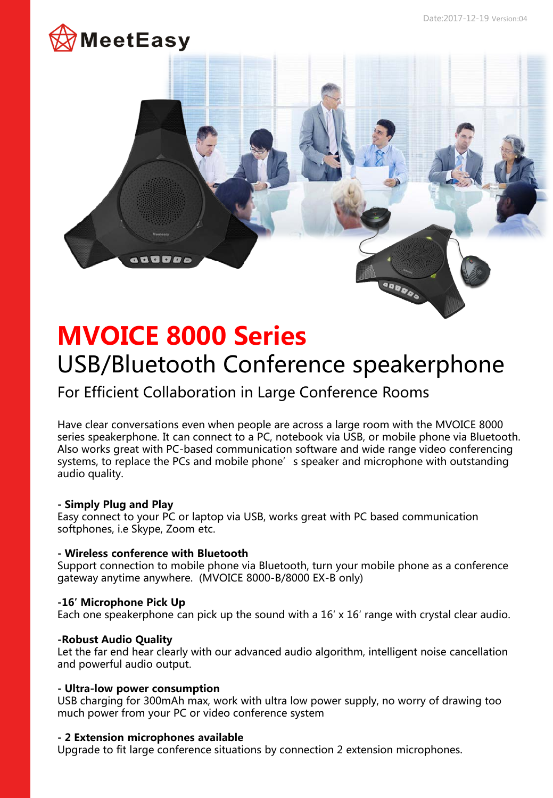

# **OBDDO MVOICE 8000 Series**  USB/Bluetooth Conference speakerphone

# For Efficient Collaboration in Large Conference Rooms

Have clear conversations even when people are across a large room with the MVOICE 8000 series speakerphone. It can connect to a PC, notebook via USB, or mobile phone via Bluetooth. Also works great with PC-based communication software and wide range video conferencing systems, to replace the PCs and mobile phone's speaker and microphone with outstanding audio quality.

## **- Simply Plug and Play**

Easy connect to your PC or laptop via USB, works great with PC based communication softphones, i.e Skype, Zoom etc.

## **- Wireless conference with Bluetooth**

a a a *a a* a

Support connection to mobile phone via Bluetooth, turn your mobile phone as a conference gateway anytime anywhere. (MVOICE 8000-B/8000 EX-B only)

# **-16′ Microphone Pick Up**

Each one speakerphone can pick up the sound with a 16′ x 16′ range with crystal clear audio.

## **-Robust Audio Quality**

Let the far end hear clearly with our advanced audio algorithm, intelligent noise cancellation and powerful audio output.

# **- Ultra-low power consumption**

USB charging for 300mAh max, work with ultra low power supply, no worry of drawing too much power from your PC or video conference system

## **- 2 Extension microphones available**

Upgrade to fit large conference situations by connection 2 extension microphones.